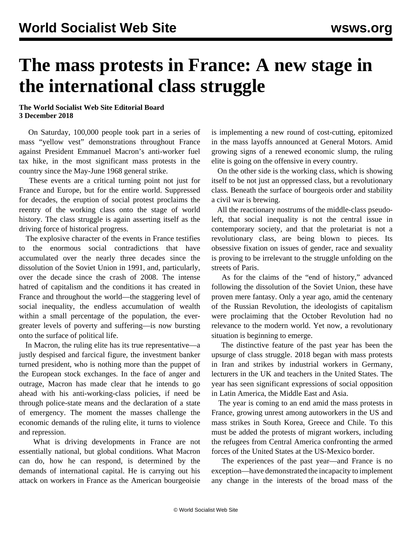## **The mass protests in France: A new stage in the international class struggle**

## **The World Socialist Web Site Editorial Board 3 December 2018**

 On Saturday, 100,000 people took part in a series of mass "yellow vest" demonstrations throughout France against President Emmanuel Macron's anti-worker fuel tax hike, in the most significant mass protests in the country since the May-June 1968 general strike.

 These events are a critical turning point not just for France and Europe, but for the entire world. Suppressed for decades, the eruption of social protest proclaims the reentry of the working class onto the stage of world history. The class struggle is again asserting itself as the driving force of historical progress.

 The explosive character of the events in France testifies to the enormous social contradictions that have accumulated over the nearly three decades since the dissolution of the Soviet Union in 1991, and, particularly, over the decade since the crash of 2008. The intense hatred of capitalism and the conditions it has created in France and throughout the world—the staggering level of social inequality, the endless accumulation of wealth within a small percentage of the population, the evergreater levels of poverty and suffering—is now bursting onto the surface of political life.

 In Macron, the ruling elite has its true representative—a justly despised and farcical figure, the investment banker turned president, who is nothing more than the puppet of the European stock exchanges. In the face of anger and outrage, Macron has made clear that he intends to go ahead with his anti-working-class policies, if need be through police-state means and the declaration of a state of emergency. The moment the masses challenge the economic demands of the ruling elite, it turns to violence and repression.

 What is driving developments in France are not essentially national, but global conditions. What Macron can do, how he can respond, is determined by the demands of international capital. He is carrying out his attack on workers in France as the American bourgeoisie is implementing a new round of cost-cutting, epitomized in the mass layoffs announced at General Motors. Amid growing signs of a renewed economic slump, the ruling elite is going on the offensive in every country.

 On the other side is the working class, which is showing itself to be not just an oppressed class, but a revolutionary class. Beneath the surface of bourgeois order and stability a civil war is brewing.

 All the reactionary nostrums of the middle-class pseudoleft, that social inequality is not the central issue in contemporary society, and that the proletariat is not a revolutionary class, are being blown to pieces. Its obsessive fixation on issues of gender, race and sexuality is proving to be irrelevant to the struggle unfolding on the streets of Paris.

 As for the claims of the "end of history," advanced following the dissolution of the Soviet Union, these have proven mere fantasy. Only a year ago, amid the centenary of the Russian Revolution, the ideologists of capitalism were proclaiming that the October Revolution had no relevance to the modern world. Yet now, a revolutionary situation is beginning to emerge.

 The distinctive feature of the past year has been the upsurge of class struggle. 2018 began with mass protests in Iran and strikes by industrial workers in Germany, lecturers in the UK and teachers in the United States. The year has seen significant expressions of social opposition in Latin America, the Middle East and Asia.

 The year is coming to an end amid the mass protests in France, growing unrest among autoworkers in the US and mass strikes in South Korea, Greece and Chile. To this must be added the protests of migrant workers, including the refugees from Central America confronting the armed forces of the United States at the US-Mexico border.

 The experiences of the past year—and France is no exception—have demonstrated the incapacity to implement any change in the interests of the broad mass of the